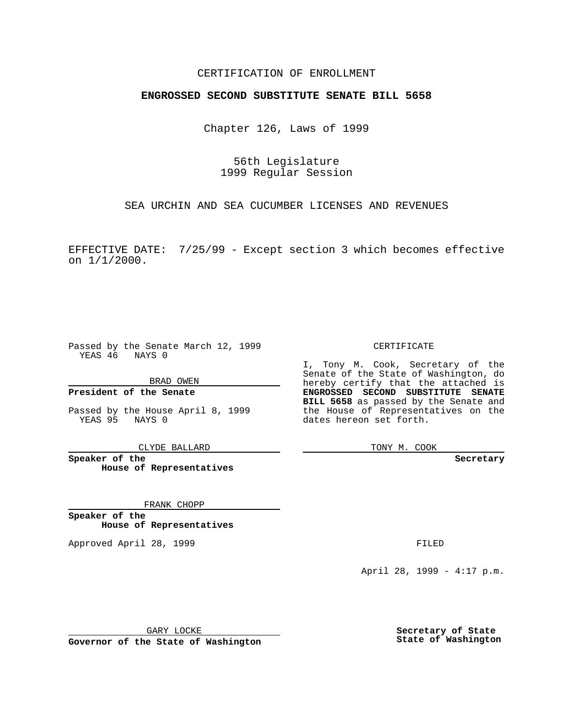### CERTIFICATION OF ENROLLMENT

## **ENGROSSED SECOND SUBSTITUTE SENATE BILL 5658**

Chapter 126, Laws of 1999

56th Legislature 1999 Regular Session

SEA URCHIN AND SEA CUCUMBER LICENSES AND REVENUES

EFFECTIVE DATE: 7/25/99 - Except section 3 which becomes effective on 1/1/2000.

Passed by the Senate March 12, 1999 YEAS 46 NAYS 0

BRAD OWEN

**President of the Senate**

Passed by the House April 8, 1999 YEAS 95 NAYS 0

CLYDE BALLARD

**Speaker of the House of Representatives**

FRANK CHOPP

**Speaker of the House of Representatives**

Approved April 28, 1999 **FILED** 

#### CERTIFICATE

I, Tony M. Cook, Secretary of the Senate of the State of Washington, do hereby certify that the attached is **ENGROSSED SECOND SUBSTITUTE SENATE BILL 5658** as passed by the Senate and the House of Representatives on the dates hereon set forth.

TONY M. COOK

**Secretary**

April 28, 1999 - 4:17 p.m.

GARY LOCKE

**Governor of the State of Washington**

**Secretary of State State of Washington**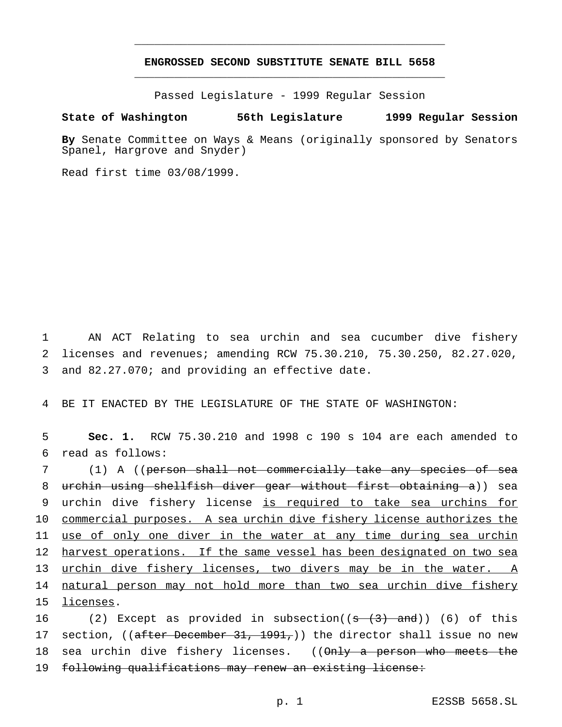# **ENGROSSED SECOND SUBSTITUTE SENATE BILL 5658** \_\_\_\_\_\_\_\_\_\_\_\_\_\_\_\_\_\_\_\_\_\_\_\_\_\_\_\_\_\_\_\_\_\_\_\_\_\_\_\_\_\_\_\_\_\_\_

\_\_\_\_\_\_\_\_\_\_\_\_\_\_\_\_\_\_\_\_\_\_\_\_\_\_\_\_\_\_\_\_\_\_\_\_\_\_\_\_\_\_\_\_\_\_\_

Passed Legislature - 1999 Regular Session

#### **State of Washington 56th Legislature 1999 Regular Session**

**By** Senate Committee on Ways & Means (originally sponsored by Senators Spanel, Hargrove and Snyder)

Read first time 03/08/1999.

1 AN ACT Relating to sea urchin and sea cucumber dive fishery 2 licenses and revenues; amending RCW 75.30.210, 75.30.250, 82.27.020, 3 and 82.27.070; and providing an effective date.

4 BE IT ENACTED BY THE LEGISLATURE OF THE STATE OF WASHINGTON:

5 **Sec. 1.** RCW 75.30.210 and 1998 c 190 s 104 are each amended to 6 read as follows:

 (1) A ((person shall not commercially take any species of sea urchin using shellfish diver gear without first obtaining a)) sea urchin dive fishery license is required to take sea urchins for commercial purposes. A sea urchin dive fishery license authorizes the use of only one diver in the water at any time during sea urchin 12 harvest operations. If the same vessel has been designated on two sea urchin dive fishery licenses, two divers may be in the water. A 14 natural person may not hold more than two sea urchin dive fishery licenses.

16 (2) Except as provided in subsection( $(\frac{s}{3}, \frac{3}{3})$  and)) (6) of this 17 section, ((after December 31, 1991,)) the director shall issue no new 18 sea urchin dive fishery licenses. ((Only a person who meets the 19 following qualifications may renew an existing license: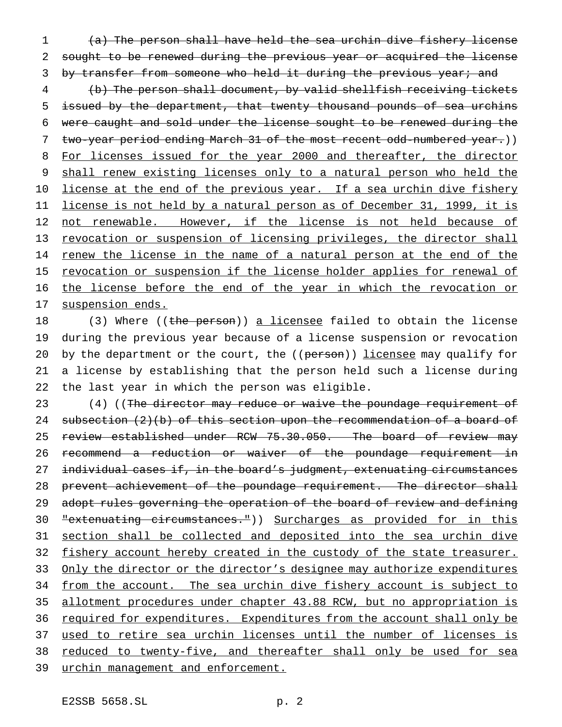1 (a) The person shall have held the sea urchin dive fishery license 2 sought to be renewed during the previous year or acquired the license 3 by transfer from someone who held it during the previous year; and

4 (b) The person shall document, by valid shellfish receiving tickets 5 issued by the department, that twenty thousand pounds of sea urchins 6 were caught and sold under the license sought to be renewed during the 7 two-year period ending March 31 of the most recent odd-numbered year.)) 8 For licenses issued for the year 2000 and thereafter, the director 9 shall renew existing licenses only to a natural person who held the 10 license at the end of the previous year. If a sea urchin dive fishery 11 license is not held by a natural person as of December 31, 1999, it is 12 not renewable. However, if the license is not held because of 13 revocation or suspension of licensing privileges, the director shall 14 renew the license in the name of a natural person at the end of the 15 revocation or suspension if the license holder applies for renewal of 16 the license before the end of the year in which the revocation or 17 suspension ends.

18 (3) Where ((the person)) a licensee failed to obtain the license 19 during the previous year because of a license suspension or revocation 20 by the department or the court, the ((person)) licensee may qualify for 21 a license by establishing that the person held such a license during 22 the last year in which the person was eligible.

23 (4) ((The director may reduce or waive the poundage requirement of 24 subsection (2)(b) of this section upon the recommendation of a board of 25 review established under RCW 75.30.050. The board of review may 26 recommend a reduction or waiver of the poundage requirement in 27 individual cases if, in the board's judgment, extenuating circumstances 28 prevent achievement of the poundage requirement. The director shall 29 adopt rules governing the operation of the board of review and defining 30 "extenuating circumstances.")) Surcharges as provided for in this 31 section shall be collected and deposited into the sea urchin dive 32 fishery account hereby created in the custody of the state treasurer. 33 Only the director or the director's designee may authorize expenditures 34 from the account. The sea urchin dive fishery account is subject to 35 allotment procedures under chapter 43.88 RCW, but no appropriation is 36 required for expenditures. Expenditures from the account shall only be 37 used to retire sea urchin licenses until the number of licenses is 38 reduced to twenty-five, and thereafter shall only be used for sea 39 urchin management and enforcement.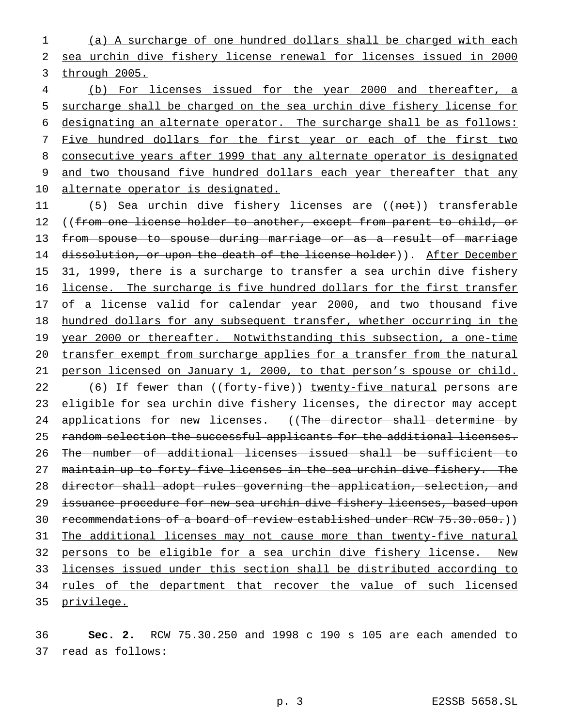1 (a) A surcharge of one hundred dollars shall be charged with each 2 sea urchin dive fishery license renewal for licenses issued in 2000 3 through 2005.

 (b) For licenses issued for the year 2000 and thereafter, a surcharge shall be charged on the sea urchin dive fishery license for designating an alternate operator. The surcharge shall be as follows: 7 Five hundred dollars for the first year or each of the first two consecutive years after 1999 that any alternate operator is designated 9 and two thousand five hundred dollars each year thereafter that any alternate operator is designated.

11 (5) Sea urchin dive fishery licenses are ((not)) transferable 12 ((from one license holder to another, except from parent to child, or 13 from spouse to spouse during marriage or as a result of marriage 14 dissolution, or upon the death of the license holder)). After December 15 31, 1999, there is a surcharge to transfer a sea urchin dive fishery 16 license. The surcharge is five hundred dollars for the first transfer 17 of a license valid for calendar year 2000, and two thousand five 18 hundred dollars for any subsequent transfer, whether occurring in the 19 year 2000 or thereafter. Notwithstanding this subsection, a one-time 20 transfer exempt from surcharge applies for a transfer from the natural 21 person licensed on January 1, 2000, to that person's spouse or child. 22 (6) If fewer than ((forty-five)) twenty-five natural persons are 23 eligible for sea urchin dive fishery licenses, the director may accept 24 applications for new licenses. ((The director shall determine by 25 random selection the successful applicants for the additional licenses. 26 The number of additional licenses issued shall be sufficient to 27 maintain up to forty-five licenses in the sea urchin dive fishery. The 28 director shall adopt rules governing the application, selection, and 29 issuance procedure for new sea urchin dive fishery licenses, based upon 30 recommendations of a board of review established under RCW 75.30.050.)) 31 The additional licenses may not cause more than twenty-five natural 32 persons to be eligible for a sea urchin dive fishery license. New 33 licenses issued under this section shall be distributed according to 34 rules of the department that recover the value of such licensed 35 privilege.

36 **Sec. 2.** RCW 75.30.250 and 1998 c 190 s 105 are each amended to 37 read as follows: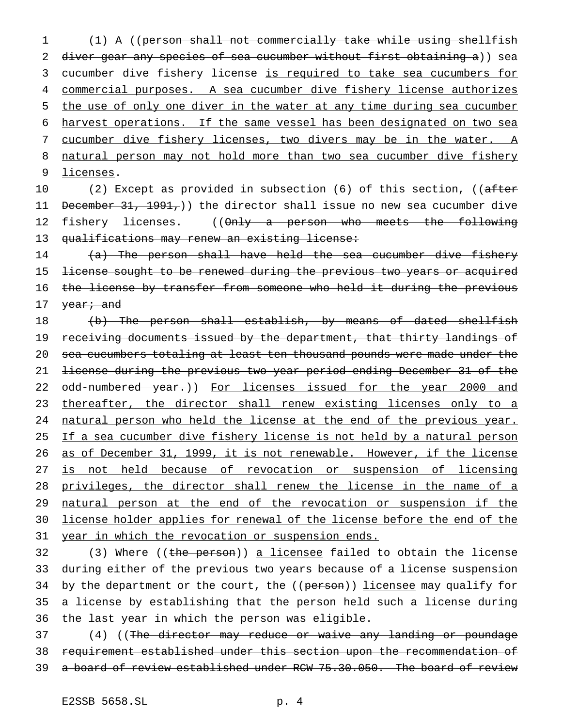(1) A ((person shall not commercially take while using shellfish 2 diver gear any species of sea cucumber without first obtaining a)) sea cucumber dive fishery license is required to take sea cucumbers for commercial purposes. A sea cucumber dive fishery license authorizes the use of only one diver in the water at any time during sea cucumber harvest operations. If the same vessel has been designated on two sea 7 cucumber dive fishery licenses, two divers may be in the water. A 8 natural person may not hold more than two sea cucumber dive fishery licenses.

10 (2) Except as provided in subsection (6) of this section, ((after 11 December 31, 1991,) the director shall issue no new sea cucumber dive 12 fishery licenses. ((Only a person who meets the following 13 qualifications may renew an existing license:

14 (a) The person shall have held the sea cucumber dive fishery 15 <del>license sought to be renewed during the previous two years or acquired</del> 16 the license by transfer from someone who held it during the previous 17 <del>year; and</del>

18 (b) The person shall establish, by means of dated shellfish 19 receiving documents issued by the department, that thirty landings of 20 sea cucumbers totaling at least ten thousand pounds were made under the 21 license during the previous two-year period ending December 31 of the 22 odd-numbered year.)) For licenses issued for the year 2000 and 23 thereafter, the director shall renew existing licenses only to a 24 natural person who held the license at the end of the previous year. 25 If a sea cucumber dive fishery license is not held by a natural person 26 as of December 31, 1999, it is not renewable. However, if the license 27 is not held because of revocation or suspension of licensing 28 privileges, the director shall renew the license in the name of a 29 natural person at the end of the revocation or suspension if the 30 license holder applies for renewal of the license before the end of the 31 year in which the revocation or suspension ends.

32 (3) Where ((the person)) a licensee failed to obtain the license 33 during either of the previous two years because of a license suspension 34 by the department or the court, the ((person)) licensee may qualify for 35 a license by establishing that the person held such a license during 36 the last year in which the person was eligible.

37 (4) ((The director may reduce or waive any landing or poundage 38 requirement established under this section upon the recommendation of 39 a board of review established under RCW 75.30.050. The board of review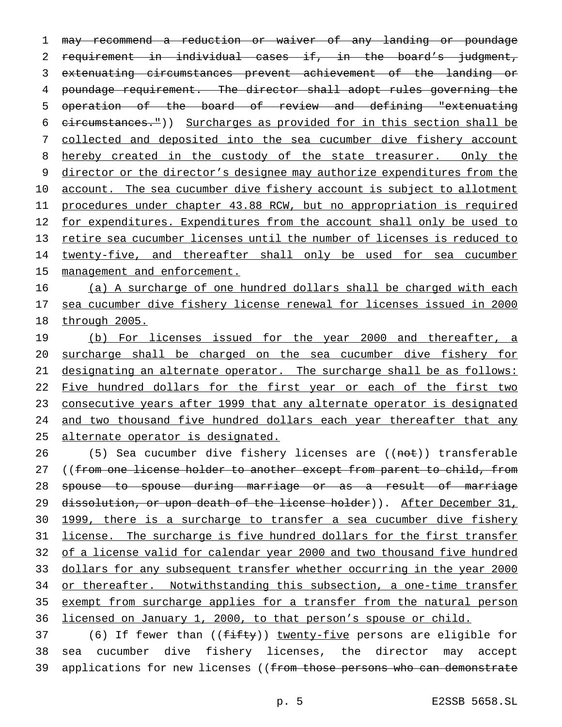1 may recommend a reduction or waiver of any landing or poundage 2 requirement in individual cases if, in the board's judgment, 3 extenuating circumstances prevent achievement of the landing or 4 poundage requirement. The director shall adopt rules governing the 5 operation of the board of review and defining "extenuating 6 circumstances.")) Surcharges as provided for in this section shall be 7 collected and deposited into the sea cucumber dive fishery account 8 hereby created in the custody of the state treasurer. Only the 9 director or the director's designee may authorize expenditures from the 10 account. The sea cucumber dive fishery account is subject to allotment 11 procedures under chapter 43.88 RCW, but no appropriation is required 12 for expenditures. Expenditures from the account shall only be used to 13 retire sea cucumber licenses until the number of licenses is reduced to 14 twenty-five, and thereafter shall only be used for sea cucumber 15 management and enforcement.

16 (a) A surcharge of one hundred dollars shall be charged with each 17 sea cucumber dive fishery license renewal for licenses issued in 2000 18 through 2005.

19 (b) For licenses issued for the year 2000 and thereafter, a 20 surcharge shall be charged on the sea cucumber dive fishery for 21 designating an alternate operator. The surcharge shall be as follows: 22 Five hundred dollars for the first year or each of the first two 23 consecutive years after 1999 that any alternate operator is designated 24 and two thousand five hundred dollars each year thereafter that any 25 alternate operator is designated.

26 (5) Sea cucumber dive fishery licenses are ((not)) transferable 27 ((from one license holder to another except from parent to child, from 28 spouse to spouse during marriage or as a result of marriage 29 dissolution, or upon death of the license holder)). After December 31, 30 1999, there is a surcharge to transfer a sea cucumber dive fishery 31 license. The surcharge is five hundred dollars for the first transfer 32 of a license valid for calendar year 2000 and two thousand five hundred 33 dollars for any subsequent transfer whether occurring in the year 2000 34 or thereafter. Notwithstanding this subsection, a one-time transfer 35 exempt from surcharge applies for a transfer from the natural person 36 licensed on January 1, 2000, to that person's spouse or child.

37 (6) If fewer than ((fifty)) twenty-five persons are eligible for 38 sea cucumber dive fishery licenses, the director may accept 39 applications for new licenses ((from those persons who can demonstrate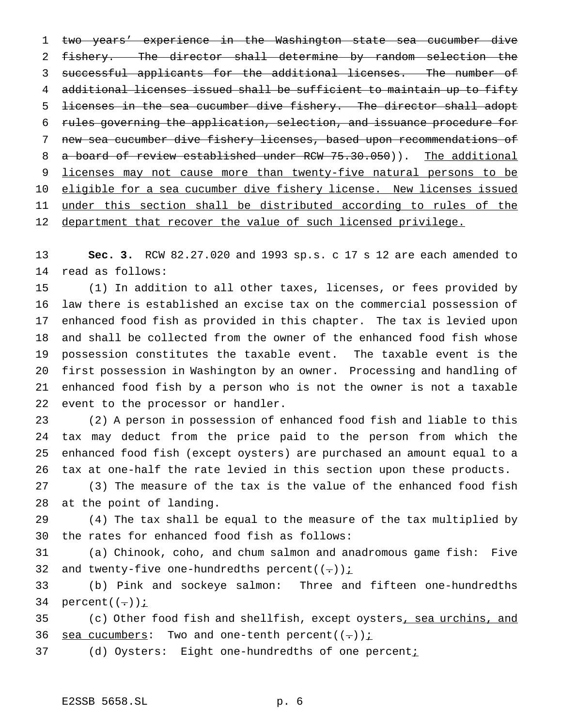two years' experience in the Washington state sea cucumber dive fishery. The director shall determine by random selection the successful applicants for the additional licenses. The number of additional licenses issued shall be sufficient to maintain up to fifty licenses in the sea cucumber dive fishery. The director shall adopt rules governing the application, selection, and issuance procedure for new sea cucumber dive fishery licenses, based upon recommendations of 8 a board of review established under RCW 75.30.050)). The additional 9 licenses may not cause more than twenty-five natural persons to be 10 eligible for a sea cucumber dive fishery license. New licenses issued 11 under this section shall be distributed according to rules of the 12 department that recover the value of such licensed privilege.

 **Sec. 3.** RCW 82.27.020 and 1993 sp.s. c 17 s 12 are each amended to read as follows:

 (1) In addition to all other taxes, licenses, or fees provided by law there is established an excise tax on the commercial possession of enhanced food fish as provided in this chapter. The tax is levied upon and shall be collected from the owner of the enhanced food fish whose possession constitutes the taxable event. The taxable event is the first possession in Washington by an owner. Processing and handling of enhanced food fish by a person who is not the owner is not a taxable event to the processor or handler.

 (2) A person in possession of enhanced food fish and liable to this tax may deduct from the price paid to the person from which the enhanced food fish (except oysters) are purchased an amount equal to a tax at one-half the rate levied in this section upon these products.

 (3) The measure of the tax is the value of the enhanced food fish at the point of landing.

 (4) The tax shall be equal to the measure of the tax multiplied by the rates for enhanced food fish as follows:

 (a) Chinook, coho, and chum salmon and anadromous game fish: Five 32 and twenty-five one-hundredths percent( $(-)$ )  $\frac{1}{2}$ 

 (b) Pink and sockeye salmon: Three and fifteen one-hundredths 34 percent $((-))$  *i* 

35 (c) Other food fish and shellfish, except oysters, sea urchins, and 36 sea cucumbers: Two and one-tenth percent( $(-)$ ) i

37 (d) Oysters: Eight one-hundredths of one percent;